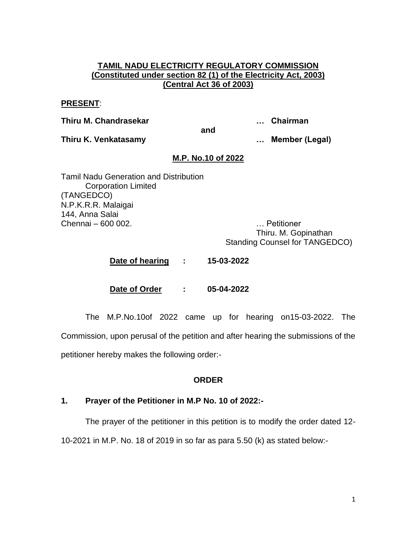### **TAMIL NADU ELECTRICITY REGULATORY COMMISSION (Constituted under section 82 (1) of the Electricity Act, 2003) (Central Act 36 of 2003)**

#### **PRESENT**:

**Thiru M. Chandrasekar … Chairman**

**and**

**Thiru K. Venkatasamy … Member (Legal)**

## **M.P. No.10 of 2022**

Tamil Nadu Generation and Distribution Corporation Limited (TANGEDCO) N.P.K.R.R. Malaigai 144, Anna Salai Chennai – 600 002. … Petitioner

Thiru. M. Gopinathan Standing Counsel for TANGEDCO)

**Date of hearing : 15-03-2022**

**Date of Order : 05-04-2022**

The M.P.No.10of 2022 came up for hearing on15-03-2022. The Commission, upon perusal of the petition and after hearing the submissions of the petitioner hereby makes the following order:-

### **ORDER**

# **1. Prayer of the Petitioner in M.P No. 10 of 2022:-**

The prayer of the petitioner in this petition is to modify the order dated 12- 10-2021 in M.P. No. 18 of 2019 in so far as para 5.50 (k) as stated below:-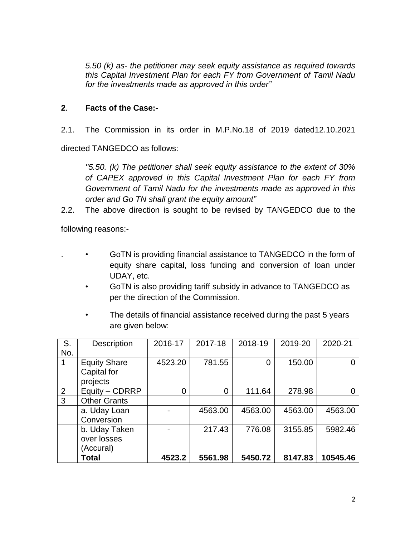*5.50 (k) as- the petitioner may seek equity assistance as required towards this Capital Investment Plan for each FY from Government of Tamil Nadu for the investments made as approved in this order"* 

## **2**. **Facts of the Case:-**

2.1. The Commission in its order in M.P.No.18 of 2019 dated12.10.2021

directed TANGEDCO as follows:

*''5.50. (k) The petitioner shall seek equity assistance to the extent of 30% of CAPEX approved in this Capital Investment Plan for each FY from Government of Tamil Nadu for the investments made as approved in this order and Go TN shall grant the equity amount"*

2.2. The above direction is sought to be revised by TANGEDCO due to the

following reasons:-

- GoTN is providing financial assistance to TANGEDCO in the form of equity share capital, loss funding and conversion of loan under UDAY, etc.
- GoTN is also providing tariff subsidy in advance to TANGEDCO as per the direction of the Commission.
- The details of financial assistance received during the past 5 years are given below:

| S.             | Description         | 2016-17 | 2017-18 | 2018-19 | 2019-20 | 2020-21  |
|----------------|---------------------|---------|---------|---------|---------|----------|
| No.            |                     |         |         |         |         |          |
| 1              | <b>Equity Share</b> | 4523.20 | 781.55  | 0       | 150.00  |          |
|                | Capital for         |         |         |         |         |          |
|                | projects            |         |         |         |         |          |
| $\overline{2}$ | Equity - CDRRP      | 0       | 0       | 111.64  | 278.98  |          |
| 3              | <b>Other Grants</b> |         |         |         |         |          |
|                | a. Uday Loan        |         | 4563.00 | 4563.00 | 4563.00 | 4563.00  |
|                | Conversion          |         |         |         |         |          |
|                | b. Uday Taken       |         | 217.43  | 776.08  | 3155.85 | 5982.46  |
|                | over losses         |         |         |         |         |          |
|                | (Accural)           |         |         |         |         |          |
|                | <b>Total</b>        | 4523.2  | 5561.98 | 5450.72 | 8147.83 | 10545.46 |